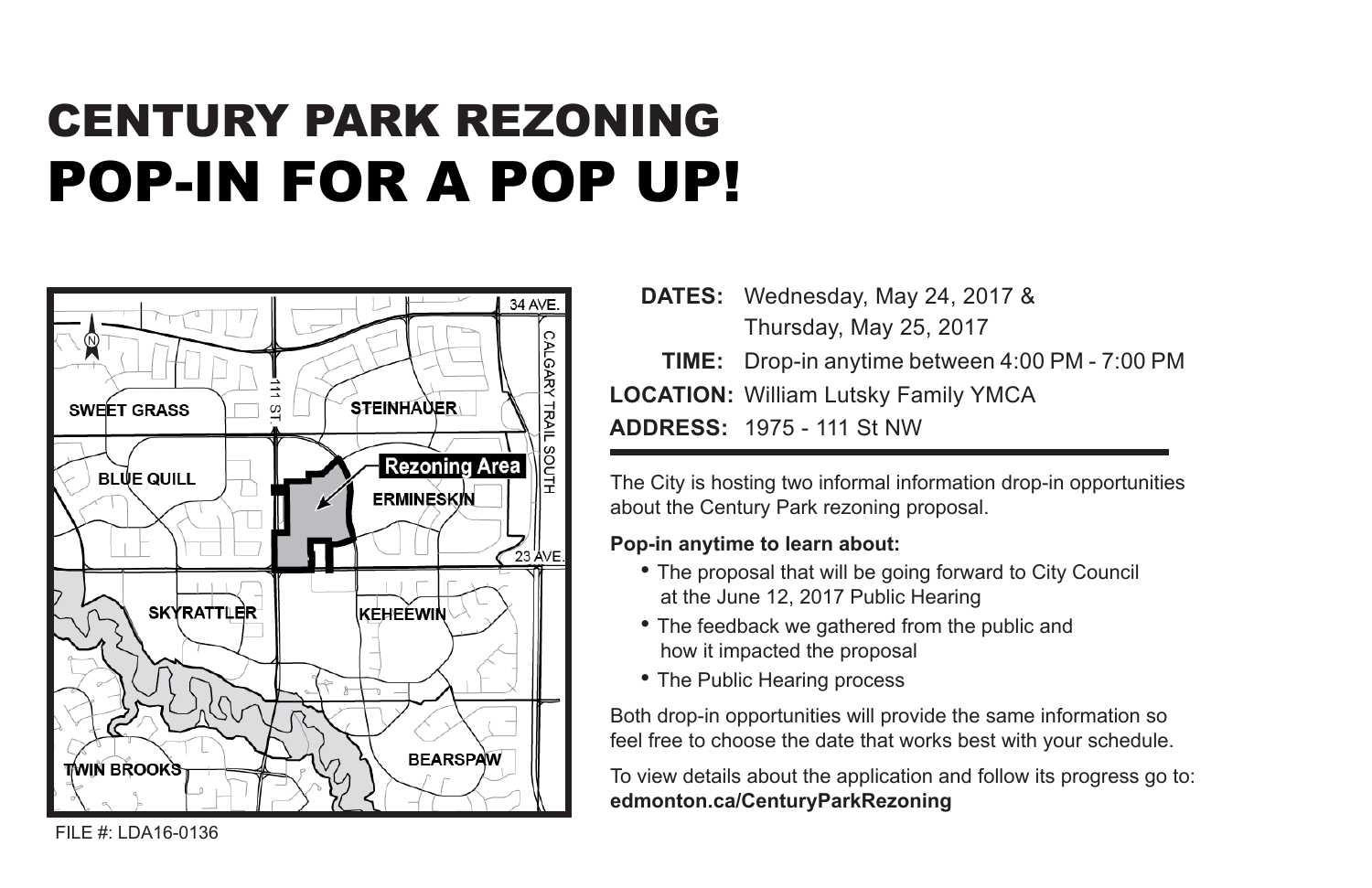## CENTURY PARK REZONING POP-IN FOR A POP UP!



**DATES:** Wednesday, May 24, 2017 & Thursday, May 25, 2017 **TIME:** Drop-in anytime between 4:00 PM - 7:00 PM **LOCATION:** William Lutsky Family YMCA **ADDRESS:** 1975 - 111 St NW

The City is hosting two informal information drop-in opportunities about the Century Park rezoning proposal.

## **Pop-in anytime to learn about:**

- The proposal that will be going forward to City Council at the June 12, 2017 Public Hearing
- The feedback we gathered from the public and how it impacted the proposal
- The Public Hearing process

Both drop-in opportunities will provide the same information so feel free to choose the date that works best with your schedule.

To view details about the application and follow its progress go to: **edmonton.ca/CenturyParkRezoning**